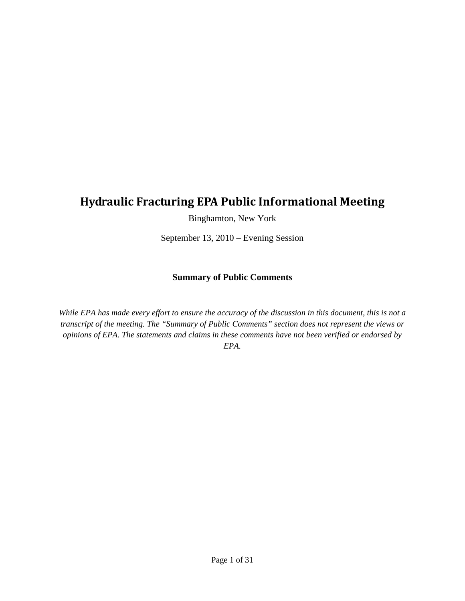## **Hydraulic Fracturing EPA Public Informational Meeting**

Binghamton, New York

September 13, 2010 – Evening Session

#### **Summary of Public Comments**

*While EPA has made every effort to ensure the accuracy of the discussion in this document, this is not a transcript of the meeting. The "Summary of Public Comments" section does not represent the views or opinions of EPA. The statements and claims in these comments have not been verified or endorsed by EPA.*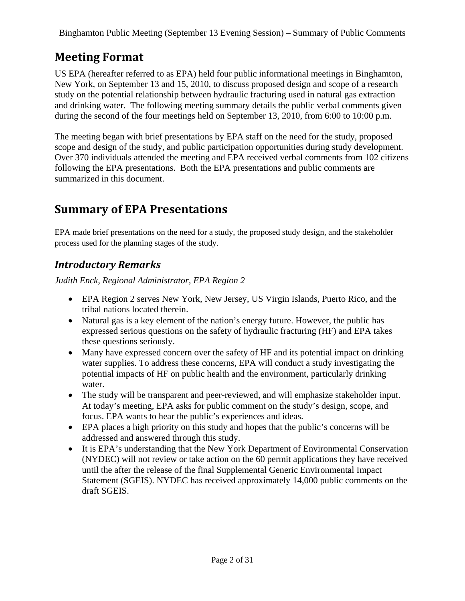# **Meeting Format**

US EPA (hereafter referred to as EPA) held four public informational meetings in Binghamton, New York, on September 13 and 15, 2010, to discuss proposed design and scope of a research study on the potential relationship between hydraulic fracturing used in natural gas extraction and drinking water. The following meeting summary details the public verbal comments given during the second of the four meetings held on September 13, 2010, from 6:00 to 10:00 p.m.

The meeting began with brief presentations by EPA staff on the need for the study, proposed scope and design of the study, and public participation opportunities during study development. Over 370 individuals attended the meeting and EPA received verbal comments from 102 citizens following the EPA presentations. Both the EPA presentations and public comments are summarized in this document.

# **Summary of EPA Presentations**

EPA made brief presentations on the need for a study, the proposed study design, and the stakeholder process used for the planning stages of the study.

## *Introductory Remarks*

*Judith Enck, Regional Administrator, EPA Region 2* 

- EPA Region 2 serves New York, New Jersey, US Virgin Islands, Puerto Rico, and the tribal nations located therein.
- Natural gas is a key element of the nation's energy future. However, the public has expressed serious questions on the safety of hydraulic fracturing (HF) and EPA takes these questions seriously.
- Many have expressed concern over the safety of HF and its potential impact on drinking water supplies. To address these concerns, EPA will conduct a study investigating the potential impacts of HF on public health and the environment, particularly drinking water.
- The study will be transparent and peer-reviewed, and will emphasize stakeholder input. At today's meeting, EPA asks for public comment on the study's design, scope, and focus. EPA wants to hear the public's experiences and ideas.
- EPA places a high priority on this study and hopes that the public's concerns will be addressed and answered through this study.
- It is EPA's understanding that the New York Department of Environmental Conservation (NYDEC) will not review or take action on the 60 permit applications they have received until the after the release of the final Supplemental Generic Environmental Impact Statement (SGEIS). NYDEC has received approximately 14,000 public comments on the draft SGEIS.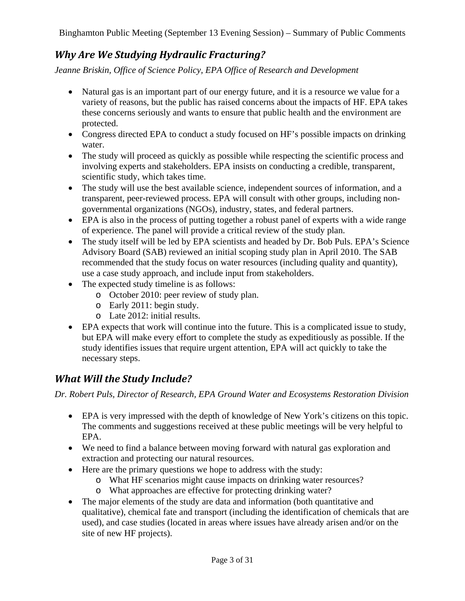### *Why Are We Studying Hydraulic Fracturing?*

*Jeanne Briskin, Office of Science Policy, EPA Office of Research and Development* 

- Natural gas is an important part of our energy future, and it is a resource we value for a variety of reasons, but the public has raised concerns about the impacts of HF. EPA takes these concerns seriously and wants to ensure that public health and the environment are protected.
- Congress directed EPA to conduct a study focused on HF's possible impacts on drinking water.
- The study will proceed as quickly as possible while respecting the scientific process and involving experts and stakeholders. EPA insists on conducting a credible, transparent, scientific study, which takes time.
- The study will use the best available science, independent sources of information, and a transparent, peer-reviewed process. EPA will consult with other groups, including nongovernmental organizations (NGOs), industry, states, and federal partners.
- EPA is also in the process of putting together a robust panel of experts with a wide range of experience. The panel will provide a critical review of the study plan.
- The study itself will be led by EPA scientists and headed by Dr. Bob Puls. EPA's Science Advisory Board (SAB) reviewed an initial scoping study plan in April 2010. The SAB recommended that the study focus on water resources (including quality and quantity), use a case study approach, and include input from stakeholders.
- The expected study timeline is as follows:
	- o October 2010: peer review of study plan.
	- o Early 2011: begin study.
	- o Late 2012: initial results.
- EPA expects that work will continue into the future. This is a complicated issue to study, but EPA will make every effort to complete the study as expeditiously as possible. If the study identifies issues that require urgent attention, EPA will act quickly to take the necessary steps.

### *What Will the Study Include?*

*Dr. Robert Puls, Director of Research, EPA Ground Water and Ecosystems Restoration Division* 

- EPA is very impressed with the depth of knowledge of New York's citizens on this topic. The comments and suggestions received at these public meetings will be very helpful to EPA.
- We need to find a balance between moving forward with natural gas exploration and extraction and protecting our natural resources.
- Here are the primary questions we hope to address with the study:
	- o What HF scenarios might cause impacts on drinking water resources?
	- o What approaches are effective for protecting drinking water?
- The major elements of the study are data and information (both quantitative and qualitative), chemical fate and transport (including the identification of chemicals that are used), and case studies (located in areas where issues have already arisen and/or on the site of new HF projects).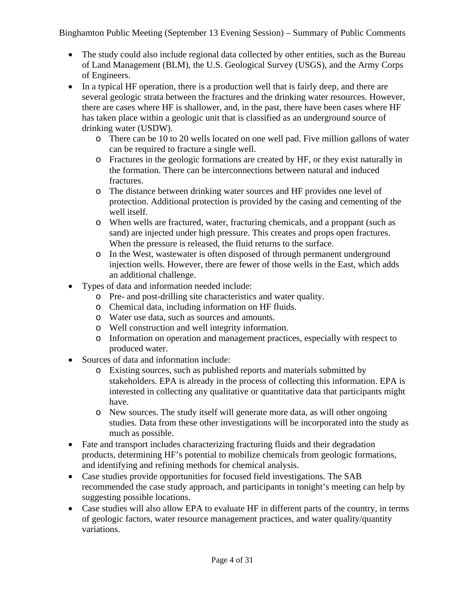- The study could also include regional data collected by other entities, such as the Bureau of Land Management (BLM), the U.S. Geological Survey (USGS), and the Army Corps of Engineers.
- In a typical HF operation, there is a production well that is fairly deep, and there are several geologic strata between the fractures and the drinking water resources. However, there are cases where HF is shallower, and, in the past, there have been cases where HF has taken place within a geologic unit that is classified as an underground source of drinking water (USDW).
	- o There can be 10 to 20 wells located on one well pad. Five million gallons of water can be required to fracture a single well.
	- o Fractures in the geologic formations are created by HF, or they exist naturally in the formation. There can be interconnections between natural and induced fractures.
	- o The distance between drinking water sources and HF provides one level of protection. Additional protection is provided by the casing and cementing of the well itself.
	- o When wells are fractured, water, fracturing chemicals, and a proppant (such as sand) are injected under high pressure. This creates and props open fractures. When the pressure is released, the fluid returns to the surface.
	- o In the West, wastewater is often disposed of through permanent underground injection wells. However, there are fewer of those wells in the East, which adds an additional challenge.
- Types of data and information needed include:
	- o Pre- and post-drilling site characteristics and water quality.
	- o Chemical data, including information on HF fluids.
	- o Water use data, such as sources and amounts.
	- o Well construction and well integrity information.
	- o Information on operation and management practices, especially with respect to produced water.
- Sources of data and information include:
	- o Existing sources, such as published reports and materials submitted by stakeholders. EPA is already in the process of collecting this information. EPA is interested in collecting any qualitative or quantitative data that participants might have.
	- o New sources. The study itself will generate more data, as will other ongoing studies. Data from these other investigations will be incorporated into the study as much as possible.
- Fate and transport includes characterizing fracturing fluids and their degradation products, determining HF's potential to mobilize chemicals from geologic formations, and identifying and refining methods for chemical analysis.
- Case studies provide opportunities for focused field investigations. The SAB recommended the case study approach, and participants in tonight's meeting can help by suggesting possible locations.
- Case studies will also allow EPA to evaluate HF in different parts of the country, in terms of geologic factors, water resource management practices, and water quality/quantity variations.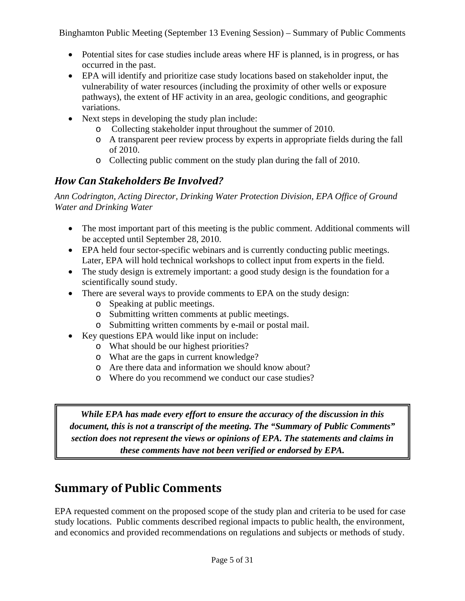- Potential sites for case studies include areas where HF is planned, is in progress, or has occurred in the past.
- EPA will identify and prioritize case study locations based on stakeholder input, the vulnerability of water resources (including the proximity of other wells or exposure pathways), the extent of HF activity in an area, geologic conditions, and geographic variations.
- Next steps in developing the study plan include:
	- o Collecting stakeholder input throughout the summer of 2010.
	- o A transparent peer review process by experts in appropriate fields during the fall of 2010.
	- o Collecting public comment on the study plan during the fall of 2010.

### *How Can Stakeholders Be Involved?*

*Ann Codrington, Acting Director, Drinking Water Protection Division, EPA Office of Ground Water and Drinking Water* 

- The most important part of this meeting is the public comment. Additional comments will be accepted until September 28, 2010.
- EPA held four sector-specific webinars and is currently conducting public meetings. Later, EPA will hold technical workshops to collect input from experts in the field.
- The study design is extremely important: a good study design is the foundation for a scientifically sound study.
- There are several ways to provide comments to EPA on the study design:
	- o Speaking at public meetings.
	- o Submitting written comments at public meetings.
	- o Submitting written comments by e-mail or postal mail.
- Key questions EPA would like input on include:
	- o What should be our highest priorities?
	- o What are the gaps in current knowledge?
	- o Are there data and information we should know about?
	- o Where do you recommend we conduct our case studies?

*While EPA has made every effort to ensure the accuracy of the discussion in this document, this is not a transcript of the meeting. The "Summary of Public Comments" section does not represent the views or opinions of EPA. The statements and claims in these comments have not been verified or endorsed by EPA.* 

# **Summary of Public Comments**

EPA requested comment on the proposed scope of the study plan and criteria to be used for case study locations. Public comments described regional impacts to public health, the environment, and economics and provided recommendations on regulations and subjects or methods of study.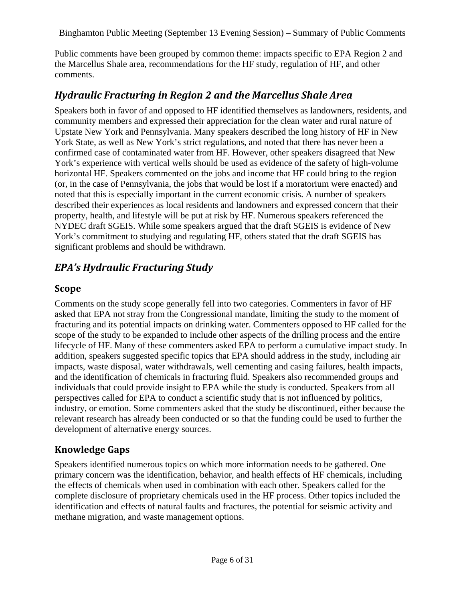Public comments have been grouped by common theme: impacts specific to EPA Region 2 and the Marcellus Shale area, recommendations for the HF study, regulation of HF, and other comments.

#### *Hydraulic Fracturing in Region 2 and the Marcellus Shale Area*

Speakers both in favor of and opposed to HF identified themselves as landowners, residents, and community members and expressed their appreciation for the clean water and rural nature of Upstate New York and Pennsylvania. Many speakers described the long history of HF in New York State, as well as New York's strict regulations, and noted that there has never been a confirmed case of contaminated water from HF. However, other speakers disagreed that New York's experience with vertical wells should be used as evidence of the safety of high-volume horizontal HF. Speakers commented on the jobs and income that HF could bring to the region (or, in the case of Pennsylvania, the jobs that would be lost if a moratorium were enacted) and noted that this is especially important in the current economic crisis. A number of speakers described their experiences as local residents and landowners and expressed concern that their property, health, and lifestyle will be put at risk by HF. Numerous speakers referenced the NYDEC draft SGEIS. While some speakers argued that the draft SGEIS is evidence of New York's commitment to studying and regulating HF, others stated that the draft SGEIS has significant problems and should be withdrawn.

#### *EPA's Hydraulic Fracturing Study*

#### **Scope**

Comments on the study scope generally fell into two categories. Commenters in favor of HF asked that EPA not stray from the Congressional mandate, limiting the study to the moment of fracturing and its potential impacts on drinking water. Commenters opposed to HF called for the scope of the study to be expanded to include other aspects of the drilling process and the entire lifecycle of HF. Many of these commenters asked EPA to perform a cumulative impact study. In addition, speakers suggested specific topics that EPA should address in the study, including air impacts, waste disposal, water withdrawals, well cementing and casing failures, health impacts, and the identification of chemicals in fracturing fluid. Speakers also recommended groups and individuals that could provide insight to EPA while the study is conducted. Speakers from all perspectives called for EPA to conduct a scientific study that is not influenced by politics, industry, or emotion. Some commenters asked that the study be discontinued, either because the relevant research has already been conducted or so that the funding could be used to further the development of alternative energy sources.

#### **Knowledge Gaps**

Speakers identified numerous topics on which more information needs to be gathered. One primary concern was the identification, behavior, and health effects of HF chemicals, including the effects of chemicals when used in combination with each other. Speakers called for the complete disclosure of proprietary chemicals used in the HF process. Other topics included the identification and effects of natural faults and fractures, the potential for seismic activity and methane migration, and waste management options.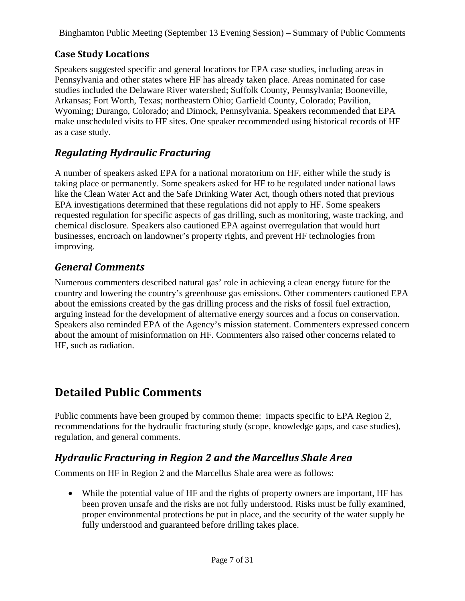#### **Case Study Locations**

Speakers suggested specific and general locations for EPA case studies, including areas in Pennsylvania and other states where HF has already taken place. Areas nominated for case studies included the Delaware River watershed; Suffolk County, Pennsylvania; Booneville, Arkansas; Fort Worth, Texas; northeastern Ohio; Garfield County, Colorado; Pavilion, Wyoming; Durango, Colorado; and Dimock, Pennsylvania. Speakers recommended that EPA make unscheduled visits to HF sites. One speaker recommended using historical records of HF as a case study.

### *Regulating Hydraulic Fracturing*

A number of speakers asked EPA for a national moratorium on HF, either while the study is taking place or permanently. Some speakers asked for HF to be regulated under national laws like the Clean Water Act and the Safe Drinking Water Act, though others noted that previous EPA investigations determined that these regulations did not apply to HF. Some speakers requested regulation for specific aspects of gas drilling, such as monitoring, waste tracking, and chemical disclosure. Speakers also cautioned EPA against overregulation that would hurt businesses, encroach on landowner's property rights, and prevent HF technologies from improving.

#### *General Comments*

Numerous commenters described natural gas' role in achieving a clean energy future for the country and lowering the country's greenhouse gas emissions. Other commenters cautioned EPA about the emissions created by the gas drilling process and the risks of fossil fuel extraction, arguing instead for the development of alternative energy sources and a focus on conservation. Speakers also reminded EPA of the Agency's mission statement. Commenters expressed concern about the amount of misinformation on HF. Commenters also raised other concerns related to HF, such as radiation.

## **Detailed Public Comments**

Public comments have been grouped by common theme: impacts specific to EPA Region 2, recommendations for the hydraulic fracturing study (scope, knowledge gaps, and case studies), regulation, and general comments.

### *Hydraulic Fracturing in Region 2 and the Marcellus Shale Area*

Comments on HF in Region 2 and the Marcellus Shale area were as follows:

• While the potential value of HF and the rights of property owners are important, HF has been proven unsafe and the risks are not fully understood. Risks must be fully examined, proper environmental protections be put in place, and the security of the water supply be fully understood and guaranteed before drilling takes place.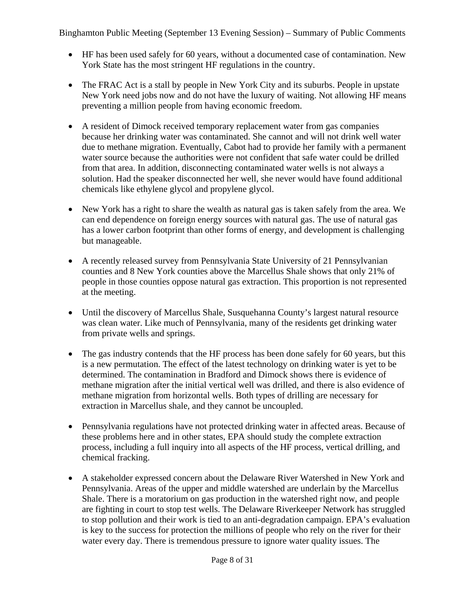- HF has been used safely for 60 years, without a documented case of contamination. New York State has the most stringent HF regulations in the country.
- The FRAC Act is a stall by people in New York City and its suburbs. People in upstate New York need jobs now and do not have the luxury of waiting. Not allowing HF means preventing a million people from having economic freedom.
- A resident of Dimock received temporary replacement water from gas companies because her drinking water was contaminated. She cannot and will not drink well water due to methane migration. Eventually, Cabot had to provide her family with a permanent water source because the authorities were not confident that safe water could be drilled from that area. In addition, disconnecting contaminated water wells is not always a solution. Had the speaker disconnected her well, she never would have found additional chemicals like ethylene glycol and propylene glycol.
- New York has a right to share the wealth as natural gas is taken safely from the area. We can end dependence on foreign energy sources with natural gas. The use of natural gas has a lower carbon footprint than other forms of energy, and development is challenging but manageable.
- A recently released survey from Pennsylvania State University of 21 Pennsylvanian counties and 8 New York counties above the Marcellus Shale shows that only 21% of people in those counties oppose natural gas extraction. This proportion is not represented at the meeting.
- Until the discovery of Marcellus Shale, Susquehanna County's largest natural resource was clean water. Like much of Pennsylvania, many of the residents get drinking water from private wells and springs.
- The gas industry contends that the HF process has been done safely for 60 years, but this is a new permutation. The effect of the latest technology on drinking water is yet to be determined. The contamination in Bradford and Dimock shows there is evidence of methane migration after the initial vertical well was drilled, and there is also evidence of methane migration from horizontal wells. Both types of drilling are necessary for extraction in Marcellus shale, and they cannot be uncoupled.
- Pennsylvania regulations have not protected drinking water in affected areas. Because of these problems here and in other states, EPA should study the complete extraction process, including a full inquiry into all aspects of the HF process, vertical drilling, and chemical fracking.
- A stakeholder expressed concern about the Delaware River Watershed in New York and Pennsylvania. Areas of the upper and middle watershed are underlain by the Marcellus Shale. There is a moratorium on gas production in the watershed right now, and people are fighting in court to stop test wells. The Delaware Riverkeeper Network has struggled to stop pollution and their work is tied to an anti-degradation campaign. EPA's evaluation is key to the success for protection the millions of people who rely on the river for their water every day. There is tremendous pressure to ignore water quality issues. The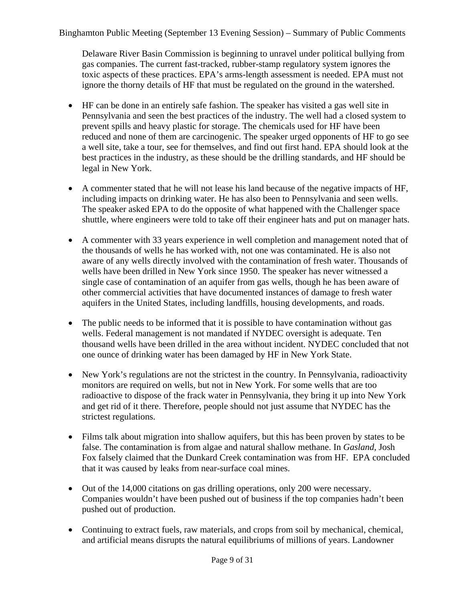Delaware River Basin Commission is beginning to unravel under political bullying from gas companies. The current fast-tracked, rubber-stamp regulatory system ignores the toxic aspects of these practices. EPA's arms-length assessment is needed. EPA must not ignore the thorny details of HF that must be regulated on the ground in the watershed.

- HF can be done in an entirely safe fashion. The speaker has visited a gas well site in Pennsylvania and seen the best practices of the industry. The well had a closed system to prevent spills and heavy plastic for storage. The chemicals used for HF have been reduced and none of them are carcinogenic. The speaker urged opponents of HF to go see a well site, take a tour, see for themselves, and find out first hand. EPA should look at the best practices in the industry, as these should be the drilling standards, and HF should be legal in New York.
- A commenter stated that he will not lease his land because of the negative impacts of HF, including impacts on drinking water. He has also been to Pennsylvania and seen wells. The speaker asked EPA to do the opposite of what happened with the Challenger space shuttle, where engineers were told to take off their engineer hats and put on manager hats.
- A commenter with 33 years experience in well completion and management noted that of the thousands of wells he has worked with, not one was contaminated. He is also not aware of any wells directly involved with the contamination of fresh water. Thousands of wells have been drilled in New York since 1950. The speaker has never witnessed a single case of contamination of an aquifer from gas wells, though he has been aware of other commercial activities that have documented instances of damage to fresh water aquifers in the United States, including landfills, housing developments, and roads.
- The public needs to be informed that it is possible to have contamination without gas wells. Federal management is not mandated if NYDEC oversight is adequate. Ten thousand wells have been drilled in the area without incident. NYDEC concluded that not one ounce of drinking water has been damaged by HF in New York State.
- New York's regulations are not the strictest in the country. In Pennsylvania, radioactivity monitors are required on wells, but not in New York. For some wells that are too radioactive to dispose of the frack water in Pennsylvania, they bring it up into New York and get rid of it there. Therefore, people should not just assume that NYDEC has the strictest regulations.
- Films talk about migration into shallow aquifers, but this has been proven by states to be false. The contamination is from algae and natural shallow methane. In *Gasland*, Josh Fox falsely claimed that the Dunkard Creek contamination was from HF. EPA concluded that it was caused by leaks from near-surface coal mines.
- Out of the 14,000 citations on gas drilling operations, only 200 were necessary. Companies wouldn't have been pushed out of business if the top companies hadn't been pushed out of production.
- Continuing to extract fuels, raw materials, and crops from soil by mechanical, chemical, and artificial means disrupts the natural equilibriums of millions of years. Landowner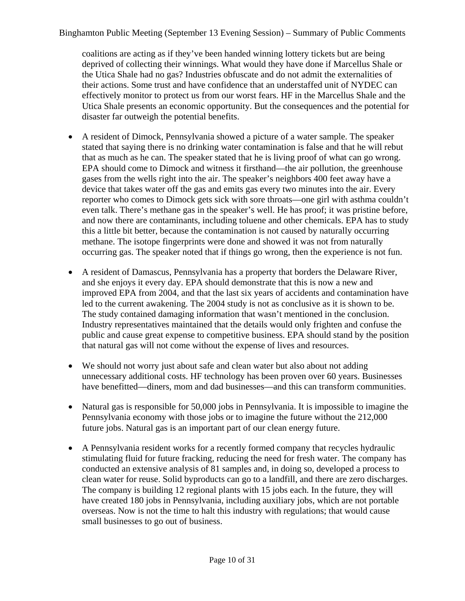coalitions are acting as if they've been handed winning lottery tickets but are being deprived of collecting their winnings. What would they have done if Marcellus Shale or the Utica Shale had no gas? Industries obfuscate and do not admit the externalities of their actions. Some trust and have confidence that an understaffed unit of NYDEC can effectively monitor to protect us from our worst fears. HF in the Marcellus Shale and the Utica Shale presents an economic opportunity. But the consequences and the potential for disaster far outweigh the potential benefits.

- A resident of Dimock, Pennsylvania showed a picture of a water sample. The speaker stated that saying there is no drinking water contamination is false and that he will rebut that as much as he can. The speaker stated that he is living proof of what can go wrong. EPA should come to Dimock and witness it firsthand—the air pollution, the greenhouse gases from the wells right into the air. The speaker's neighbors 400 feet away have a device that takes water off the gas and emits gas every two minutes into the air. Every reporter who comes to Dimock gets sick with sore throats—one girl with asthma couldn't even talk. There's methane gas in the speaker's well. He has proof; it was pristine before, and now there are contaminants, including toluene and other chemicals. EPA has to study this a little bit better, because the contamination is not caused by naturally occurring methane. The isotope fingerprints were done and showed it was not from naturally occurring gas. The speaker noted that if things go wrong, then the experience is not fun.
- A resident of Damascus, Pennsylvania has a property that borders the Delaware River, and she enjoys it every day. EPA should demonstrate that this is now a new and improved EPA from 2004, and that the last six years of accidents and contamination have led to the current awakening. The 2004 study is not as conclusive as it is shown to be. The study contained damaging information that wasn't mentioned in the conclusion. Industry representatives maintained that the details would only frighten and confuse the public and cause great expense to competitive business. EPA should stand by the position that natural gas will not come without the expense of lives and resources.
- We should not worry just about safe and clean water but also about not adding unnecessary additional costs. HF technology has been proven over 60 years. Businesses have benefitted—diners, mom and dad businesses—and this can transform communities.
- Natural gas is responsible for 50,000 jobs in Pennsylvania. It is impossible to imagine the Pennsylvania economy with those jobs or to imagine the future without the 212,000 future jobs. Natural gas is an important part of our clean energy future.
- A Pennsylvania resident works for a recently formed company that recycles hydraulic stimulating fluid for future fracking, reducing the need for fresh water. The company has conducted an extensive analysis of 81 samples and, in doing so, developed a process to clean water for reuse. Solid byproducts can go to a landfill, and there are zero discharges. The company is building 12 regional plants with 15 jobs each. In the future, they will have created 180 jobs in Pennsylvania, including auxiliary jobs, which are not portable overseas. Now is not the time to halt this industry with regulations; that would cause small businesses to go out of business.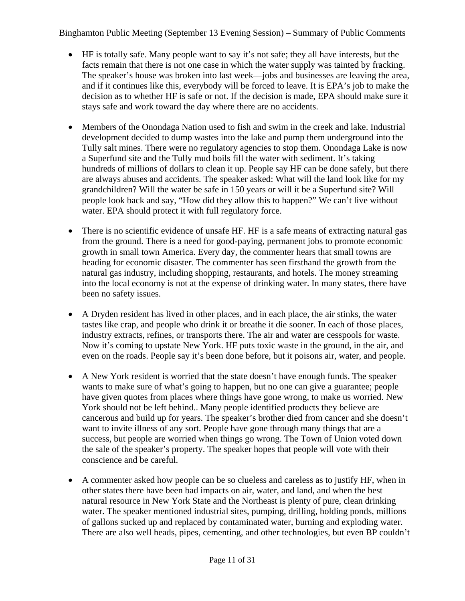- HF is totally safe. Many people want to say it's not safe; they all have interests, but the facts remain that there is not one case in which the water supply was tainted by fracking. The speaker's house was broken into last week—jobs and businesses are leaving the area, and if it continues like this, everybody will be forced to leave. It is EPA's job to make the decision as to whether HF is safe or not. If the decision is made, EPA should make sure it stays safe and work toward the day where there are no accidents.
- Members of the Onondaga Nation used to fish and swim in the creek and lake. Industrial development decided to dump wastes into the lake and pump them underground into the Tully salt mines. There were no regulatory agencies to stop them. Onondaga Lake is now a Superfund site and the Tully mud boils fill the water with sediment. It's taking hundreds of millions of dollars to clean it up. People say HF can be done safely, but there are always abuses and accidents. The speaker asked: What will the land look like for my grandchildren? Will the water be safe in 150 years or will it be a Superfund site? Will people look back and say, "How did they allow this to happen?" We can't live without water. EPA should protect it with full regulatory force.
- There is no scientific evidence of unsafe HF. HF is a safe means of extracting natural gas from the ground. There is a need for good-paying, permanent jobs to promote economic growth in small town America. Every day, the commenter hears that small towns are heading for economic disaster. The commenter has seen firsthand the growth from the natural gas industry, including shopping, restaurants, and hotels. The money streaming into the local economy is not at the expense of drinking water. In many states, there have been no safety issues.
- A Dryden resident has lived in other places, and in each place, the air stinks, the water tastes like crap, and people who drink it or breathe it die sooner. In each of those places, industry extracts, refines, or transports there. The air and water are cesspools for waste. Now it's coming to upstate New York. HF puts toxic waste in the ground, in the air, and even on the roads. People say it's been done before, but it poisons air, water, and people.
- A New York resident is worried that the state doesn't have enough funds. The speaker wants to make sure of what's going to happen, but no one can give a guarantee; people have given quotes from places where things have gone wrong, to make us worried. New York should not be left behind.. Many people identified products they believe are cancerous and build up for years. The speaker's brother died from cancer and she doesn't want to invite illness of any sort. People have gone through many things that are a success, but people are worried when things go wrong. The Town of Union voted down the sale of the speaker's property. The speaker hopes that people will vote with their conscience and be careful.
- A commenter asked how people can be so clueless and careless as to justify HF, when in other states there have been bad impacts on air, water, and land, and when the best natural resource in New York State and the Northeast is plenty of pure, clean drinking water. The speaker mentioned industrial sites, pumping, drilling, holding ponds, millions of gallons sucked up and replaced by contaminated water, burning and exploding water. There are also well heads, pipes, cementing, and other technologies, but even BP couldn't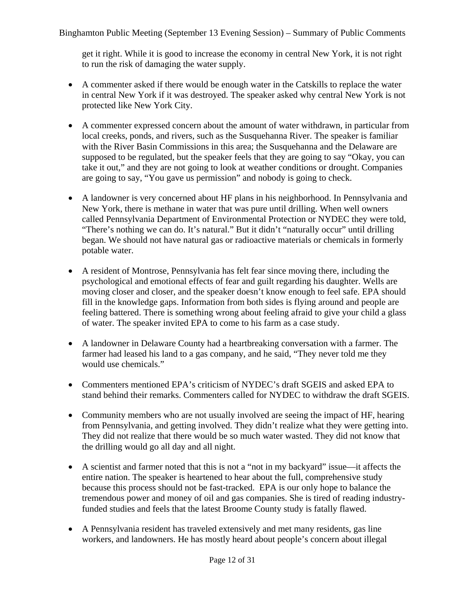get it right. While it is good to increase the economy in central New York, it is not right to run the risk of damaging the water supply.

- A commenter asked if there would be enough water in the Catskills to replace the water in central New York if it was destroyed. The speaker asked why central New York is not protected like New York City.
- A commenter expressed concern about the amount of water withdrawn, in particular from local creeks, ponds, and rivers, such as the Susquehanna River. The speaker is familiar with the River Basin Commissions in this area; the Susquehanna and the Delaware are supposed to be regulated, but the speaker feels that they are going to say "Okay, you can take it out," and they are not going to look at weather conditions or drought. Companies are going to say, "You gave us permission" and nobody is going to check.
- A landowner is very concerned about HF plans in his neighborhood. In Pennsylvania and New York, there is methane in water that was pure until drilling. When well owners called Pennsylvania Department of Environmental Protection or NYDEC they were told, "There's nothing we can do. It's natural." But it didn't "naturally occur" until drilling began. We should not have natural gas or radioactive materials or chemicals in formerly potable water.
- A resident of Montrose, Pennsylvania has felt fear since moving there, including the psychological and emotional effects of fear and guilt regarding his daughter. Wells are moving closer and closer, and the speaker doesn't know enough to feel safe. EPA should fill in the knowledge gaps. Information from both sides is flying around and people are feeling battered. There is something wrong about feeling afraid to give your child a glass of water. The speaker invited EPA to come to his farm as a case study.
- A landowner in Delaware County had a heartbreaking conversation with a farmer. The farmer had leased his land to a gas company, and he said, "They never told me they would use chemicals."
- Commenters mentioned EPA's criticism of NYDEC's draft SGEIS and asked EPA to stand behind their remarks. Commenters called for NYDEC to withdraw the draft SGEIS.
- Community members who are not usually involved are seeing the impact of HF, hearing from Pennsylvania, and getting involved. They didn't realize what they were getting into. They did not realize that there would be so much water wasted. They did not know that the drilling would go all day and all night.
- A scientist and farmer noted that this is not a "not in my backyard" issue—it affects the entire nation. The speaker is heartened to hear about the full, comprehensive study because this process should not be fast-tracked. EPA is our only hope to balance the tremendous power and money of oil and gas companies. She is tired of reading industryfunded studies and feels that the latest Broome County study is fatally flawed.
- A Pennsylvania resident has traveled extensively and met many residents, gas line workers, and landowners. He has mostly heard about people's concern about illegal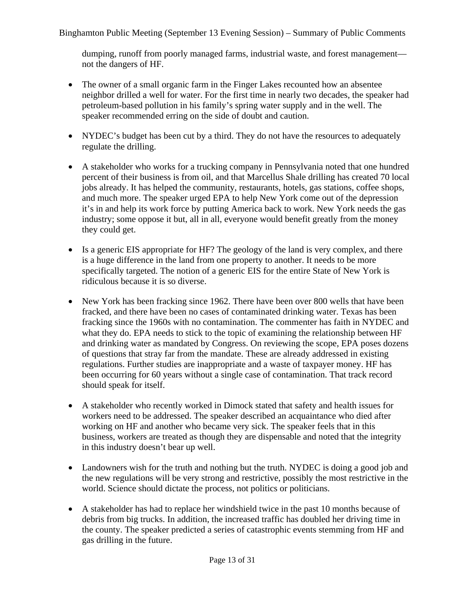dumping, runoff from poorly managed farms, industrial waste, and forest management not the dangers of HF.

- The owner of a small organic farm in the Finger Lakes recounted how an absentee neighbor drilled a well for water. For the first time in nearly two decades, the speaker had petroleum-based pollution in his family's spring water supply and in the well. The speaker recommended erring on the side of doubt and caution.
- NYDEC's budget has been cut by a third. They do not have the resources to adequately regulate the drilling.
- A stakeholder who works for a trucking company in Pennsylvania noted that one hundred percent of their business is from oil, and that Marcellus Shale drilling has created 70 local jobs already. It has helped the community, restaurants, hotels, gas stations, coffee shops, and much more. The speaker urged EPA to help New York come out of the depression it's in and help its work force by putting America back to work. New York needs the gas industry; some oppose it but, all in all, everyone would benefit greatly from the money they could get.
- Is a generic EIS appropriate for HF? The geology of the land is very complex, and there is a huge difference in the land from one property to another. It needs to be more specifically targeted. The notion of a generic EIS for the entire State of New York is ridiculous because it is so diverse.
- New York has been fracking since 1962. There have been over 800 wells that have been fracked, and there have been no cases of contaminated drinking water. Texas has been fracking since the 1960s with no contamination. The commenter has faith in NYDEC and what they do. EPA needs to stick to the topic of examining the relationship between HF and drinking water as mandated by Congress. On reviewing the scope, EPA poses dozens of questions that stray far from the mandate. These are already addressed in existing regulations. Further studies are inappropriate and a waste of taxpayer money. HF has been occurring for 60 years without a single case of contamination. That track record should speak for itself.
- A stakeholder who recently worked in Dimock stated that safety and health issues for workers need to be addressed. The speaker described an acquaintance who died after working on HF and another who became very sick. The speaker feels that in this business, workers are treated as though they are dispensable and noted that the integrity in this industry doesn't bear up well.
- Landowners wish for the truth and nothing but the truth. NYDEC is doing a good job and the new regulations will be very strong and restrictive, possibly the most restrictive in the world. Science should dictate the process, not politics or politicians.
- A stakeholder has had to replace her windshield twice in the past 10 months because of debris from big trucks. In addition, the increased traffic has doubled her driving time in the county. The speaker predicted a series of catastrophic events stemming from HF and gas drilling in the future.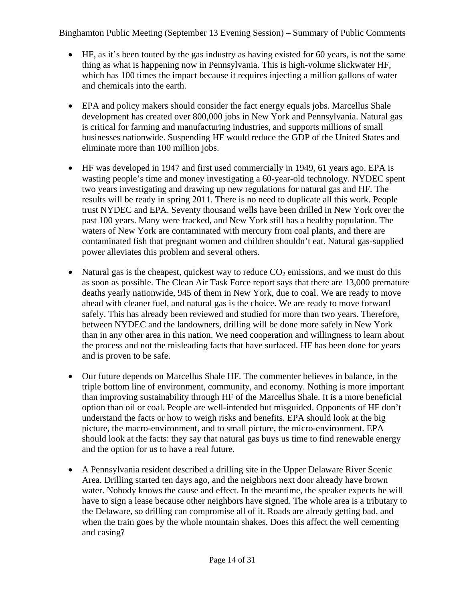- HF, as it's been touted by the gas industry as having existed for 60 years, is not the same thing as what is happening now in Pennsylvania. This is high-volume slickwater HF, which has 100 times the impact because it requires injecting a million gallons of water and chemicals into the earth.
- EPA and policy makers should consider the fact energy equals jobs. Marcellus Shale development has created over 800,000 jobs in New York and Pennsylvania. Natural gas is critical for farming and manufacturing industries, and supports millions of small businesses nationwide. Suspending HF would reduce the GDP of the United States and eliminate more than 100 million jobs.
- HF was developed in 1947 and first used commercially in 1949, 61 years ago. EPA is wasting people's time and money investigating a 60-year-old technology. NYDEC spent two years investigating and drawing up new regulations for natural gas and HF. The results will be ready in spring 2011. There is no need to duplicate all this work. People trust NYDEC and EPA. Seventy thousand wells have been drilled in New York over the past 100 years. Many were fracked, and New York still has a healthy population. The waters of New York are contaminated with mercury from coal plants, and there are contaminated fish that pregnant women and children shouldn't eat. Natural gas-supplied power alleviates this problem and several others.
- Natural gas is the cheapest, quickest way to reduce  $CO<sub>2</sub>$  emissions, and we must do this as soon as possible. The Clean Air Task Force report says that there are 13,000 premature deaths yearly nationwide, 945 of them in New York, due to coal. We are ready to move ahead with cleaner fuel, and natural gas is the choice. We are ready to move forward safely. This has already been reviewed and studied for more than two years. Therefore, between NYDEC and the landowners, drilling will be done more safely in New York than in any other area in this nation. We need cooperation and willingness to learn about the process and not the misleading facts that have surfaced. HF has been done for years and is proven to be safe.
- Our future depends on Marcellus Shale HF. The commenter believes in balance, in the triple bottom line of environment, community, and economy. Nothing is more important than improving sustainability through HF of the Marcellus Shale. It is a more beneficial option than oil or coal. People are well-intended but misguided. Opponents of HF don't understand the facts or how to weigh risks and benefits. EPA should look at the big picture, the macro-environment, and to small picture, the micro-environment. EPA should look at the facts: they say that natural gas buys us time to find renewable energy and the option for us to have a real future.
- A Pennsylvania resident described a drilling site in the Upper Delaware River Scenic Area. Drilling started ten days ago, and the neighbors next door already have brown water. Nobody knows the cause and effect. In the meantime, the speaker expects he will have to sign a lease because other neighbors have signed. The whole area is a tributary to the Delaware, so drilling can compromise all of it. Roads are already getting bad, and when the train goes by the whole mountain shakes. Does this affect the well cementing and casing?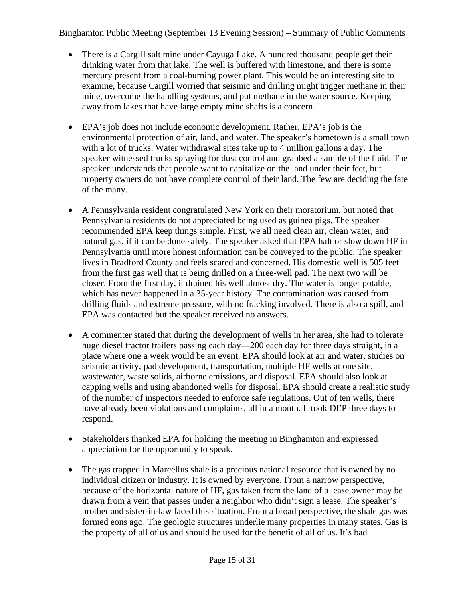- There is a Cargill salt mine under Cayuga Lake. A hundred thousand people get their drinking water from that lake. The well is buffered with limestone, and there is some mercury present from a coal-burning power plant. This would be an interesting site to examine, because Cargill worried that seismic and drilling might trigger methane in their mine, overcome the handling systems, and put methane in the water source. Keeping away from lakes that have large empty mine shafts is a concern.
- EPA's job does not include economic development. Rather, EPA's job is the environmental protection of air, land, and water. The speaker's hometown is a small town with a lot of trucks. Water withdrawal sites take up to 4 million gallons a day. The speaker witnessed trucks spraying for dust control and grabbed a sample of the fluid. The speaker understands that people want to capitalize on the land under their feet, but property owners do not have complete control of their land. The few are deciding the fate of the many.
- A Pennsylvania resident congratulated New York on their moratorium, but noted that Pennsylvania residents do not appreciated being used as guinea pigs. The speaker recommended EPA keep things simple. First, we all need clean air, clean water, and natural gas, if it can be done safely. The speaker asked that EPA halt or slow down HF in Pennsylvania until more honest information can be conveyed to the public. The speaker lives in Bradford County and feels scared and concerned. His domestic well is 505 feet from the first gas well that is being drilled on a three-well pad. The next two will be closer. From the first day, it drained his well almost dry. The water is longer potable, which has never happened in a 35-year history. The contamination was caused from drilling fluids and extreme pressure, with no fracking involved. There is also a spill, and EPA was contacted but the speaker received no answers.
- A commenter stated that during the development of wells in her area, she had to tolerate huge diesel tractor trailers passing each day—200 each day for three days straight, in a place where one a week would be an event. EPA should look at air and water, studies on seismic activity, pad development, transportation, multiple HF wells at one site, wastewater, waste solids, airborne emissions, and disposal. EPA should also look at capping wells and using abandoned wells for disposal. EPA should create a realistic study of the number of inspectors needed to enforce safe regulations. Out of ten wells, there have already been violations and complaints, all in a month. It took DEP three days to respond.
- Stakeholders thanked EPA for holding the meeting in Binghamton and expressed appreciation for the opportunity to speak.
- The gas trapped in Marcellus shale is a precious national resource that is owned by no individual citizen or industry. It is owned by everyone. From a narrow perspective, because of the horizontal nature of HF, gas taken from the land of a lease owner may be drawn from a vein that passes under a neighbor who didn't sign a lease. The speaker's brother and sister-in-law faced this situation. From a broad perspective, the shale gas was formed eons ago. The geologic structures underlie many properties in many states. Gas is the property of all of us and should be used for the benefit of all of us. It's bad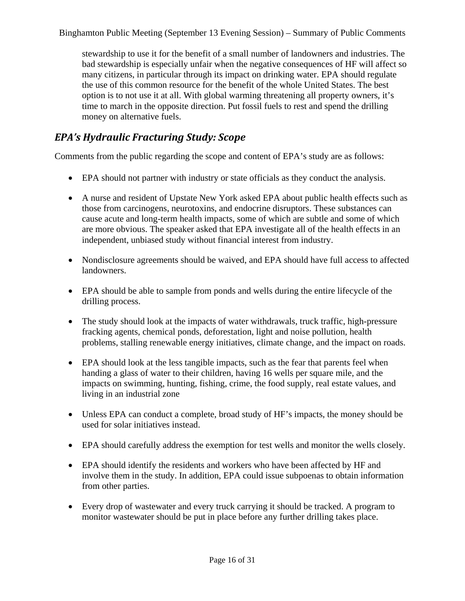stewardship to use it for the benefit of a small number of landowners and industries. The bad stewardship is especially unfair when the negative consequences of HF will affect so many citizens, in particular through its impact on drinking water. EPA should regulate the use of this common resource for the benefit of the whole United States. The best option is to not use it at all. With global warming threatening all property owners, it's time to march in the opposite direction. Put fossil fuels to rest and spend the drilling money on alternative fuels.

### *EPA's Hydraulic Fracturing Study: Scope*

Comments from the public regarding the scope and content of EPA's study are as follows:

- EPA should not partner with industry or state officials as they conduct the analysis.
- A nurse and resident of Upstate New York asked EPA about public health effects such as those from carcinogens, neurotoxins, and endocrine disruptors. These substances can cause acute and long-term health impacts, some of which are subtle and some of which are more obvious. The speaker asked that EPA investigate all of the health effects in an independent, unbiased study without financial interest from industry.
- Nondisclosure agreements should be waived, and EPA should have full access to affected landowners.
- EPA should be able to sample from ponds and wells during the entire lifecycle of the drilling process.
- The study should look at the impacts of water withdrawals, truck traffic, high-pressure fracking agents, chemical ponds, deforestation, light and noise pollution, health problems, stalling renewable energy initiatives, climate change, and the impact on roads.
- EPA should look at the less tangible impacts, such as the fear that parents feel when handing a glass of water to their children, having 16 wells per square mile, and the impacts on swimming, hunting, fishing, crime, the food supply, real estate values, and living in an industrial zone
- Unless EPA can conduct a complete, broad study of HF's impacts, the money should be used for solar initiatives instead.
- EPA should carefully address the exemption for test wells and monitor the wells closely.
- EPA should identify the residents and workers who have been affected by HF and involve them in the study. In addition, EPA could issue subpoenas to obtain information from other parties.
- Every drop of wastewater and every truck carrying it should be tracked. A program to monitor wastewater should be put in place before any further drilling takes place.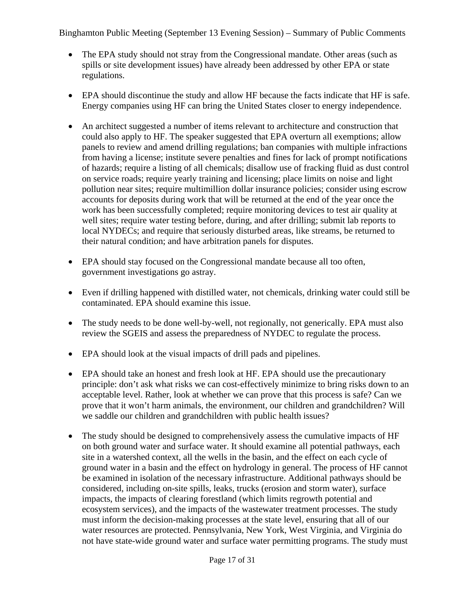- The EPA study should not stray from the Congressional mandate. Other areas (such as spills or site development issues) have already been addressed by other EPA or state regulations.
- EPA should discontinue the study and allow HF because the facts indicate that HF is safe. Energy companies using HF can bring the United States closer to energy independence.
- An architect suggested a number of items relevant to architecture and construction that could also apply to HF. The speaker suggested that EPA overturn all exemptions; allow panels to review and amend drilling regulations; ban companies with multiple infractions from having a license; institute severe penalties and fines for lack of prompt notifications of hazards; require a listing of all chemicals; disallow use of fracking fluid as dust control on service roads; require yearly training and licensing; place limits on noise and light pollution near sites; require multimillion dollar insurance policies; consider using escrow accounts for deposits during work that will be returned at the end of the year once the work has been successfully completed; require monitoring devices to test air quality at well sites; require water testing before, during, and after drilling; submit lab reports to local NYDECs; and require that seriously disturbed areas, like streams, be returned to their natural condition; and have arbitration panels for disputes.
- EPA should stay focused on the Congressional mandate because all too often, government investigations go astray.
- Even if drilling happened with distilled water, not chemicals, drinking water could still be contaminated. EPA should examine this issue.
- The study needs to be done well-by-well, not regionally, not generically. EPA must also review the SGEIS and assess the preparedness of NYDEC to regulate the process.
- EPA should look at the visual impacts of drill pads and pipelines.
- EPA should take an honest and fresh look at HF. EPA should use the precautionary principle: don't ask what risks we can cost-effectively minimize to bring risks down to an acceptable level. Rather, look at whether we can prove that this process is safe? Can we prove that it won't harm animals, the environment, our children and grandchildren? Will we saddle our children and grandchildren with public health issues?
- The study should be designed to comprehensively assess the cumulative impacts of HF on both ground water and surface water. It should examine all potential pathways, each site in a watershed context, all the wells in the basin, and the effect on each cycle of ground water in a basin and the effect on hydrology in general. The process of HF cannot be examined in isolation of the necessary infrastructure. Additional pathways should be considered, including on-site spills, leaks, trucks (erosion and storm water), surface impacts, the impacts of clearing forestland (which limits regrowth potential and ecosystem services), and the impacts of the wastewater treatment processes. The study must inform the decision-making processes at the state level, ensuring that all of our water resources are protected. Pennsylvania, New York, West Virginia, and Virginia do not have state-wide ground water and surface water permitting programs. The study must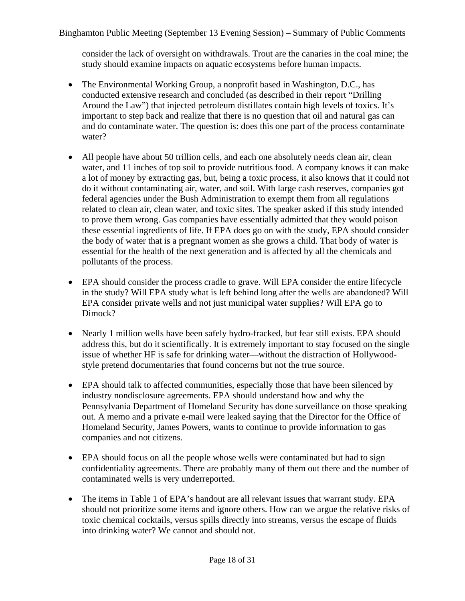consider the lack of oversight on withdrawals. Trout are the canaries in the coal mine; the study should examine impacts on aquatic ecosystems before human impacts.

- The Environmental Working Group, a nonprofit based in Washington, D.C., has conducted extensive research and concluded (as described in their report "Drilling Around the Law") that injected petroleum distillates contain high levels of toxics. It's important to step back and realize that there is no question that oil and natural gas can and do contaminate water. The question is: does this one part of the process contaminate water?
- All people have about 50 trillion cells, and each one absolutely needs clean air, clean water, and 11 inches of top soil to provide nutritious food. A company knows it can make a lot of money by extracting gas, but, being a toxic process, it also knows that it could not do it without contaminating air, water, and soil. With large cash reserves, companies got federal agencies under the Bush Administration to exempt them from all regulations related to clean air, clean water, and toxic sites. The speaker asked if this study intended to prove them wrong. Gas companies have essentially admitted that they would poison these essential ingredients of life. If EPA does go on with the study, EPA should consider the body of water that is a pregnant women as she grows a child. That body of water is essential for the health of the next generation and is affected by all the chemicals and pollutants of the process.
- EPA should consider the process cradle to grave. Will EPA consider the entire lifecycle in the study? Will EPA study what is left behind long after the wells are abandoned? Will EPA consider private wells and not just municipal water supplies? Will EPA go to Dimock?
- Nearly 1 million wells have been safely hydro-fracked, but fear still exists. EPA should address this, but do it scientifically. It is extremely important to stay focused on the single issue of whether HF is safe for drinking water—without the distraction of Hollywoodstyle pretend documentaries that found concerns but not the true source.
- EPA should talk to affected communities, especially those that have been silenced by industry nondisclosure agreements. EPA should understand how and why the Pennsylvania Department of Homeland Security has done surveillance on those speaking out. A memo and a private e-mail were leaked saying that the Director for the Office of Homeland Security, James Powers, wants to continue to provide information to gas companies and not citizens.
- EPA should focus on all the people whose wells were contaminated but had to sign confidentiality agreements. There are probably many of them out there and the number of contaminated wells is very underreported.
- The items in Table 1 of EPA's handout are all relevant issues that warrant study. EPA should not prioritize some items and ignore others. How can we argue the relative risks of toxic chemical cocktails, versus spills directly into streams, versus the escape of fluids into drinking water? We cannot and should not.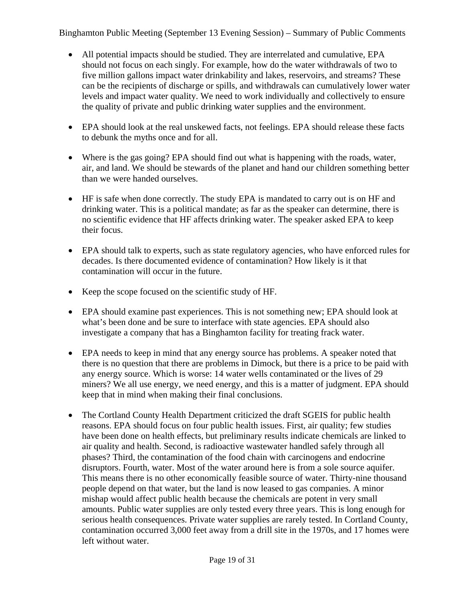- All potential impacts should be studied. They are interrelated and cumulative, EPA should not focus on each singly. For example, how do the water withdrawals of two to five million gallons impact water drinkability and lakes, reservoirs, and streams? These can be the recipients of discharge or spills, and withdrawals can cumulatively lower water levels and impact water quality. We need to work individually and collectively to ensure the quality of private and public drinking water supplies and the environment.
- EPA should look at the real unskewed facts, not feelings. EPA should release these facts to debunk the myths once and for all.
- Where is the gas going? EPA should find out what is happening with the roads, water, air, and land. We should be stewards of the planet and hand our children something better than we were handed ourselves.
- HF is safe when done correctly. The study EPA is mandated to carry out is on HF and drinking water. This is a political mandate; as far as the speaker can determine, there is no scientific evidence that HF affects drinking water. The speaker asked EPA to keep their focus.
- EPA should talk to experts, such as state regulatory agencies, who have enforced rules for decades. Is there documented evidence of contamination? How likely is it that contamination will occur in the future.
- Keep the scope focused on the scientific study of HF.
- EPA should examine past experiences. This is not something new; EPA should look at what's been done and be sure to interface with state agencies. EPA should also investigate a company that has a Binghamton facility for treating frack water.
- EPA needs to keep in mind that any energy source has problems. A speaker noted that there is no question that there are problems in Dimock, but there is a price to be paid with any energy source. Which is worse: 14 water wells contaminated or the lives of 29 miners? We all use energy, we need energy, and this is a matter of judgment. EPA should keep that in mind when making their final conclusions.
- The Cortland County Health Department criticized the draft SGEIS for public health reasons. EPA should focus on four public health issues. First, air quality; few studies have been done on health effects, but preliminary results indicate chemicals are linked to air quality and health. Second, is radioactive wastewater handled safely through all phases? Third, the contamination of the food chain with carcinogens and endocrine disruptors. Fourth, water. Most of the water around here is from a sole source aquifer. This means there is no other economically feasible source of water. Thirty-nine thousand people depend on that water, but the land is now leased to gas companies. A minor mishap would affect public health because the chemicals are potent in very small amounts. Public water supplies are only tested every three years. This is long enough for serious health consequences. Private water supplies are rarely tested. In Cortland County, contamination occurred 3,000 feet away from a drill site in the 1970s, and 17 homes were left without water.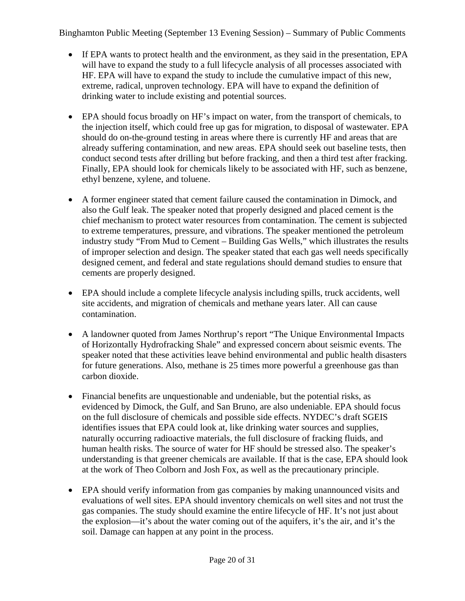- If EPA wants to protect health and the environment, as they said in the presentation, EPA will have to expand the study to a full lifecycle analysis of all processes associated with HF. EPA will have to expand the study to include the cumulative impact of this new, extreme, radical, unproven technology. EPA will have to expand the definition of drinking water to include existing and potential sources.
- EPA should focus broadly on HF's impact on water, from the transport of chemicals, to the injection itself, which could free up gas for migration, to disposal of wastewater. EPA should do on-the-ground testing in areas where there is currently HF and areas that are already suffering contamination, and new areas. EPA should seek out baseline tests, then conduct second tests after drilling but before fracking, and then a third test after fracking. Finally, EPA should look for chemicals likely to be associated with HF, such as benzene, ethyl benzene, xylene, and toluene.
- A former engineer stated that cement failure caused the contamination in Dimock, and also the Gulf leak. The speaker noted that properly designed and placed cement is the chief mechanism to protect water resources from contamination. The cement is subjected to extreme temperatures, pressure, and vibrations. The speaker mentioned the petroleum industry study "From Mud to Cement – Building Gas Wells," which illustrates the results of improper selection and design. The speaker stated that each gas well needs specifically designed cement, and federal and state regulations should demand studies to ensure that cements are properly designed.
- EPA should include a complete lifecycle analysis including spills, truck accidents, well site accidents, and migration of chemicals and methane years later. All can cause contamination.
- A landowner quoted from James Northrup's report "The Unique Environmental Impacts of Horizontally Hydrofracking Shale" and expressed concern about seismic events. The speaker noted that these activities leave behind environmental and public health disasters for future generations. Also, methane is 25 times more powerful a greenhouse gas than carbon dioxide.
- Financial benefits are unquestionable and undeniable, but the potential risks, as evidenced by Dimock, the Gulf, and San Bruno, are also undeniable. EPA should focus on the full disclosure of chemicals and possible side effects. NYDEC's draft SGEIS identifies issues that EPA could look at, like drinking water sources and supplies, naturally occurring radioactive materials, the full disclosure of fracking fluids, and human health risks. The source of water for HF should be stressed also. The speaker's understanding is that greener chemicals are available. If that is the case, EPA should look at the work of Theo Colborn and Josh Fox, as well as the precautionary principle.
- EPA should verify information from gas companies by making unannounced visits and evaluations of well sites. EPA should inventory chemicals on well sites and not trust the gas companies. The study should examine the entire lifecycle of HF. It's not just about the explosion—it's about the water coming out of the aquifers, it's the air, and it's the soil. Damage can happen at any point in the process.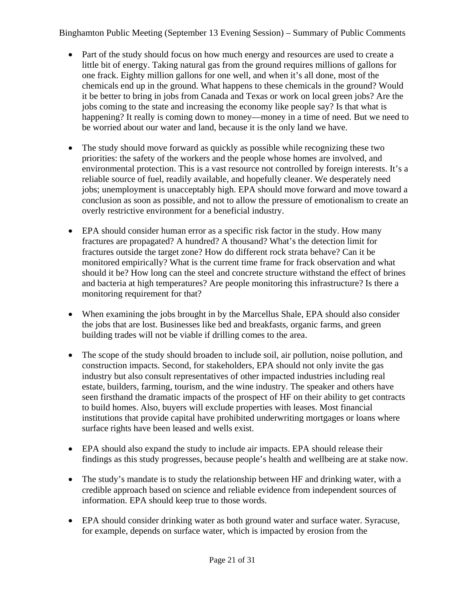- Part of the study should focus on how much energy and resources are used to create a little bit of energy. Taking natural gas from the ground requires millions of gallons for one frack. Eighty million gallons for one well, and when it's all done, most of the chemicals end up in the ground. What happens to these chemicals in the ground? Would it be better to bring in jobs from Canada and Texas or work on local green jobs? Are the jobs coming to the state and increasing the economy like people say? Is that what is happening? It really is coming down to money—money in a time of need. But we need to be worried about our water and land, because it is the only land we have.
- The study should move forward as quickly as possible while recognizing these two priorities: the safety of the workers and the people whose homes are involved, and environmental protection. This is a vast resource not controlled by foreign interests. It's a reliable source of fuel, readily available, and hopefully cleaner. We desperately need jobs; unemployment is unacceptably high. EPA should move forward and move toward a conclusion as soon as possible, and not to allow the pressure of emotionalism to create an overly restrictive environment for a beneficial industry.
- EPA should consider human error as a specific risk factor in the study. How many fractures are propagated? A hundred? A thousand? What's the detection limit for fractures outside the target zone? How do different rock strata behave? Can it be monitored empirically? What is the current time frame for frack observation and what should it be? How long can the steel and concrete structure withstand the effect of brines and bacteria at high temperatures? Are people monitoring this infrastructure? Is there a monitoring requirement for that?
- When examining the jobs brought in by the Marcellus Shale, EPA should also consider the jobs that are lost. Businesses like bed and breakfasts, organic farms, and green building trades will not be viable if drilling comes to the area.
- The scope of the study should broaden to include soil, air pollution, noise pollution, and construction impacts. Second, for stakeholders, EPA should not only invite the gas industry but also consult representatives of other impacted industries including real estate, builders, farming, tourism, and the wine industry. The speaker and others have seen firsthand the dramatic impacts of the prospect of HF on their ability to get contracts to build homes. Also, buyers will exclude properties with leases. Most financial institutions that provide capital have prohibited underwriting mortgages or loans where surface rights have been leased and wells exist.
- EPA should also expand the study to include air impacts. EPA should release their findings as this study progresses, because people's health and wellbeing are at stake now.
- The study's mandate is to study the relationship between HF and drinking water, with a credible approach based on science and reliable evidence from independent sources of information. EPA should keep true to those words.
- EPA should consider drinking water as both ground water and surface water. Syracuse, for example, depends on surface water, which is impacted by erosion from the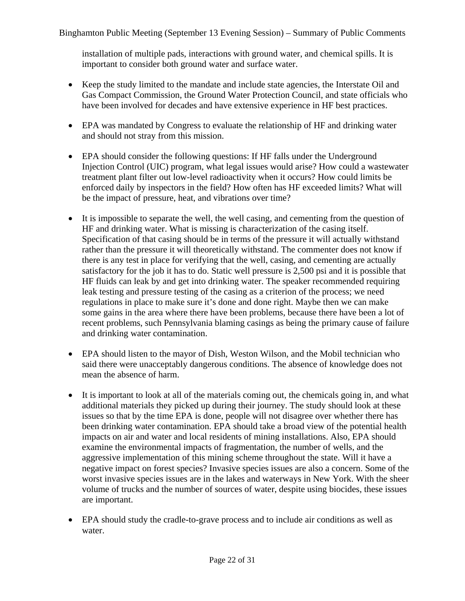installation of multiple pads, interactions with ground water, and chemical spills. It is important to consider both ground water and surface water.

- Keep the study limited to the mandate and include state agencies, the Interstate Oil and Gas Compact Commission, the Ground Water Protection Council, and state officials who have been involved for decades and have extensive experience in HF best practices.
- EPA was mandated by Congress to evaluate the relationship of HF and drinking water and should not stray from this mission.
- EPA should consider the following questions: If HF falls under the Underground Injection Control (UIC) program, what legal issues would arise? How could a wastewater treatment plant filter out low-level radioactivity when it occurs? How could limits be enforced daily by inspectors in the field? How often has HF exceeded limits? What will be the impact of pressure, heat, and vibrations over time?
- It is impossible to separate the well, the well casing, and cementing from the question of HF and drinking water. What is missing is characterization of the casing itself. Specification of that casing should be in terms of the pressure it will actually withstand rather than the pressure it will theoretically withstand. The commenter does not know if there is any test in place for verifying that the well, casing, and cementing are actually satisfactory for the job it has to do. Static well pressure is 2,500 psi and it is possible that HF fluids can leak by and get into drinking water. The speaker recommended requiring leak testing and pressure testing of the casing as a criterion of the process; we need regulations in place to make sure it's done and done right. Maybe then we can make some gains in the area where there have been problems, because there have been a lot of recent problems, such Pennsylvania blaming casings as being the primary cause of failure and drinking water contamination.
- EPA should listen to the mayor of Dish, Weston Wilson, and the Mobil technician who said there were unacceptably dangerous conditions. The absence of knowledge does not mean the absence of harm.
- It is important to look at all of the materials coming out, the chemicals going in, and what additional materials they picked up during their journey. The study should look at these issues so that by the time EPA is done, people will not disagree over whether there has been drinking water contamination. EPA should take a broad view of the potential health impacts on air and water and local residents of mining installations. Also, EPA should examine the environmental impacts of fragmentation, the number of wells, and the aggressive implementation of this mining scheme throughout the state. Will it have a negative impact on forest species? Invasive species issues are also a concern. Some of the worst invasive species issues are in the lakes and waterways in New York. With the sheer volume of trucks and the number of sources of water, despite using biocides, these issues are important.
- EPA should study the cradle-to-grave process and to include air conditions as well as water.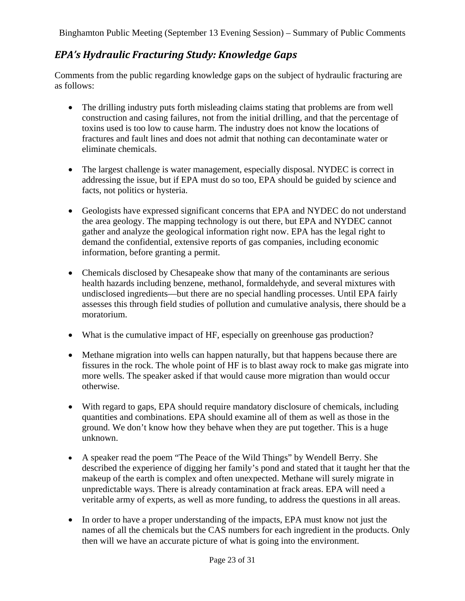#### *EPA's Hydraulic Fracturing Study: Knowledge Gaps*

Comments from the public regarding knowledge gaps on the subject of hydraulic fracturing are as follows:

- The drilling industry puts forth misleading claims stating that problems are from well construction and casing failures, not from the initial drilling, and that the percentage of toxins used is too low to cause harm. The industry does not know the locations of fractures and fault lines and does not admit that nothing can decontaminate water or eliminate chemicals.
- The largest challenge is water management, especially disposal. NYDEC is correct in addressing the issue, but if EPA must do so too, EPA should be guided by science and facts, not politics or hysteria.
- Geologists have expressed significant concerns that EPA and NYDEC do not understand the area geology. The mapping technology is out there, but EPA and NYDEC cannot gather and analyze the geological information right now. EPA has the legal right to demand the confidential, extensive reports of gas companies, including economic information, before granting a permit.
- Chemicals disclosed by Chesapeake show that many of the contaminants are serious health hazards including benzene, methanol, formaldehyde, and several mixtures with undisclosed ingredients—but there are no special handling processes. Until EPA fairly assesses this through field studies of pollution and cumulative analysis, there should be a moratorium.
- What is the cumulative impact of HF, especially on greenhouse gas production?
- Methane migration into wells can happen naturally, but that happens because there are fissures in the rock. The whole point of HF is to blast away rock to make gas migrate into more wells. The speaker asked if that would cause more migration than would occur otherwise.
- With regard to gaps, EPA should require mandatory disclosure of chemicals, including quantities and combinations. EPA should examine all of them as well as those in the ground. We don't know how they behave when they are put together. This is a huge unknown.
- A speaker read the poem "The Peace of the Wild Things" by Wendell Berry. She described the experience of digging her family's pond and stated that it taught her that the makeup of the earth is complex and often unexpected. Methane will surely migrate in unpredictable ways. There is already contamination at frack areas. EPA will need a veritable army of experts, as well as more funding, to address the questions in all areas.
- In order to have a proper understanding of the impacts, EPA must know not just the names of all the chemicals but the CAS numbers for each ingredient in the products. Only then will we have an accurate picture of what is going into the environment.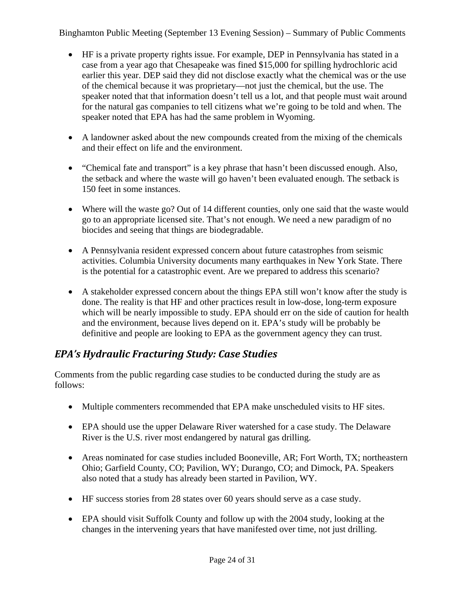- HF is a private property rights issue. For example, DEP in Pennsylvania has stated in a case from a year ago that Chesapeake was fined \$15,000 for spilling hydrochloric acid earlier this year. DEP said they did not disclose exactly what the chemical was or the use of the chemical because it was proprietary—not just the chemical, but the use. The speaker noted that that information doesn't tell us a lot, and that people must wait around for the natural gas companies to tell citizens what we're going to be told and when. The speaker noted that EPA has had the same problem in Wyoming.
- A landowner asked about the new compounds created from the mixing of the chemicals and their effect on life and the environment.
- "Chemical fate and transport" is a key phrase that hasn't been discussed enough. Also, the setback and where the waste will go haven't been evaluated enough. The setback is 150 feet in some instances.
- Where will the waste go? Out of 14 different counties, only one said that the waste would go to an appropriate licensed site. That's not enough. We need a new paradigm of no biocides and seeing that things are biodegradable.
- A Pennsylvania resident expressed concern about future catastrophes from seismic activities. Columbia University documents many earthquakes in New York State. There is the potential for a catastrophic event. Are we prepared to address this scenario?
- A stakeholder expressed concern about the things EPA still won't know after the study is done. The reality is that HF and other practices result in low-dose, long-term exposure which will be nearly impossible to study. EPA should err on the side of caution for health and the environment, because lives depend on it. EPA's study will be probably be definitive and people are looking to EPA as the government agency they can trust.

### *EPA's Hydraulic Fracturing Study: Case Studies*

Comments from the public regarding case studies to be conducted during the study are as follows:

- Multiple commenters recommended that EPA make unscheduled visits to HF sites.
- EPA should use the upper Delaware River watershed for a case study. The Delaware River is the U.S. river most endangered by natural gas drilling.
- Areas nominated for case studies included Booneville, AR; Fort Worth, TX; northeastern Ohio; Garfield County, CO; Pavilion, WY; Durango, CO; and Dimock, PA. Speakers also noted that a study has already been started in Pavilion, WY.
- HF success stories from 28 states over 60 years should serve as a case study.
- EPA should visit Suffolk County and follow up with the 2004 study, looking at the changes in the intervening years that have manifested over time, not just drilling.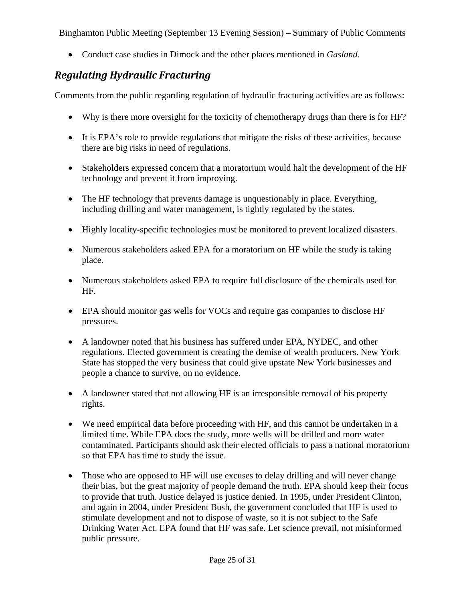• Conduct case studies in Dimock and the other places mentioned in *Gasland*.

#### *Regulating Hydraulic Fracturing*

Comments from the public regarding regulation of hydraulic fracturing activities are as follows:

- Why is there more oversight for the toxicity of chemotherapy drugs than there is for HF?
- It is EPA's role to provide regulations that mitigate the risks of these activities, because there are big risks in need of regulations.
- Stakeholders expressed concern that a moratorium would halt the development of the HF technology and prevent it from improving.
- The HF technology that prevents damage is unquestionably in place. Everything, including drilling and water management, is tightly regulated by the states.
- Highly locality-specific technologies must be monitored to prevent localized disasters.
- Numerous stakeholders asked EPA for a moratorium on HF while the study is taking place.
- Numerous stakeholders asked EPA to require full disclosure of the chemicals used for HF.
- EPA should monitor gas wells for VOCs and require gas companies to disclose HF pressures.
- A landowner noted that his business has suffered under EPA, NYDEC, and other regulations. Elected government is creating the demise of wealth producers. New York State has stopped the very business that could give upstate New York businesses and people a chance to survive, on no evidence.
- A landowner stated that not allowing HF is an irresponsible removal of his property rights.
- We need empirical data before proceeding with HF, and this cannot be undertaken in a limited time. While EPA does the study, more wells will be drilled and more water contaminated. Participants should ask their elected officials to pass a national moratorium so that EPA has time to study the issue.
- Those who are opposed to HF will use excuses to delay drilling and will never change their bias, but the great majority of people demand the truth. EPA should keep their focus to provide that truth. Justice delayed is justice denied. In 1995, under President Clinton, and again in 2004, under President Bush, the government concluded that HF is used to stimulate development and not to dispose of waste, so it is not subject to the Safe Drinking Water Act. EPA found that HF was safe. Let science prevail, not misinformed public pressure.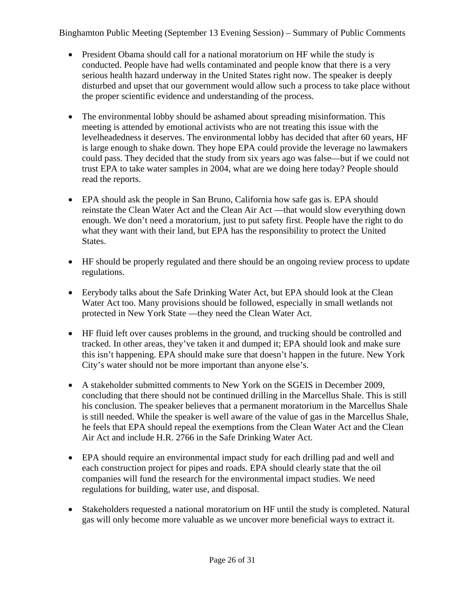- President Obama should call for a national moratorium on HF while the study is conducted. People have had wells contaminated and people know that there is a very serious health hazard underway in the United States right now. The speaker is deeply disturbed and upset that our government would allow such a process to take place without the proper scientific evidence and understanding of the process.
- The environmental lobby should be ashamed about spreading misinformation. This meeting is attended by emotional activists who are not treating this issue with the levelheadedness it deserves. The environmental lobby has decided that after 60 years, HF is large enough to shake down. They hope EPA could provide the leverage no lawmakers could pass. They decided that the study from six years ago was false—but if we could not trust EPA to take water samples in 2004, what are we doing here today? People should read the reports.
- EPA should ask the people in San Bruno, California how safe gas is. EPA should reinstate the Clean Water Act and the Clean Air Act —that would slow everything down enough. We don't need a moratorium, just to put safety first. People have the right to do what they want with their land, but EPA has the responsibility to protect the United States.
- HF should be properly regulated and there should be an ongoing review process to update regulations.
- Eerybody talks about the Safe Drinking Water Act, but EPA should look at the Clean Water Act too. Many provisions should be followed, especially in small wetlands not protected in New York State —they need the Clean Water Act.
- HF fluid left over causes problems in the ground, and trucking should be controlled and tracked. In other areas, they've taken it and dumped it; EPA should look and make sure this isn't happening. EPA should make sure that doesn't happen in the future. New York City's water should not be more important than anyone else's.
- A stakeholder submitted comments to New York on the SGEIS in December 2009, concluding that there should not be continued drilling in the Marcellus Shale. This is still his conclusion. The speaker believes that a permanent moratorium in the Marcellus Shale is still needed. While the speaker is well aware of the value of gas in the Marcellus Shale, he feels that EPA should repeal the exemptions from the Clean Water Act and the Clean Air Act and include H.R. 2766 in the Safe Drinking Water Act.
- EPA should require an environmental impact study for each drilling pad and well and each construction project for pipes and roads. EPA should clearly state that the oil companies will fund the research for the environmental impact studies. We need regulations for building, water use, and disposal.
- Stakeholders requested a national moratorium on HF until the study is completed. Natural gas will only become more valuable as we uncover more beneficial ways to extract it.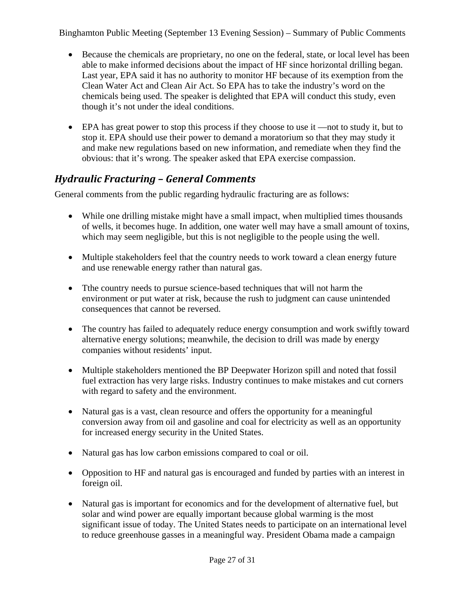- Because the chemicals are proprietary, no one on the federal, state, or local level has been able to make informed decisions about the impact of HF since horizontal drilling began. Last year, EPA said it has no authority to monitor HF because of its exemption from the Clean Water Act and Clean Air Act. So EPA has to take the industry's word on the chemicals being used. The speaker is delighted that EPA will conduct this study, even though it's not under the ideal conditions.
- EPA has great power to stop this process if they choose to use it —not to study it, but to stop it. EPA should use their power to demand a moratorium so that they may study it and make new regulations based on new information, and remediate when they find the obvious: that it's wrong. The speaker asked that EPA exercise compassion.

#### *Hydraulic Fracturing – General Comments*

General comments from the public regarding hydraulic fracturing are as follows:

- While one drilling mistake might have a small impact, when multiplied times thousands of wells, it becomes huge. In addition, one water well may have a small amount of toxins, which may seem negligible, but this is not negligible to the people using the well.
- Multiple stakeholders feel that the country needs to work toward a clean energy future and use renewable energy rather than natural gas.
- Tthe country needs to pursue science-based techniques that will not harm the environment or put water at risk, because the rush to judgment can cause unintended consequences that cannot be reversed.
- The country has failed to adequately reduce energy consumption and work swiftly toward alternative energy solutions; meanwhile, the decision to drill was made by energy companies without residents' input.
- Multiple stakeholders mentioned the BP Deepwater Horizon spill and noted that fossil fuel extraction has very large risks. Industry continues to make mistakes and cut corners with regard to safety and the environment.
- Natural gas is a vast, clean resource and offers the opportunity for a meaningful conversion away from oil and gasoline and coal for electricity as well as an opportunity for increased energy security in the United States.
- Natural gas has low carbon emissions compared to coal or oil.
- Opposition to HF and natural gas is encouraged and funded by parties with an interest in foreign oil.
- Natural gas is important for economics and for the development of alternative fuel, but solar and wind power are equally important because global warming is the most significant issue of today. The United States needs to participate on an international level to reduce greenhouse gasses in a meaningful way. President Obama made a campaign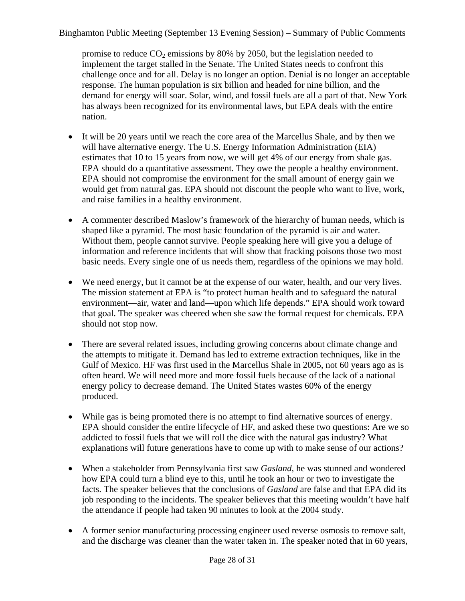promise to reduce  $CO<sub>2</sub>$  emissions by 80% by 2050, but the legislation needed to implement the target stalled in the Senate. The United States needs to confront this challenge once and for all. Delay is no longer an option. Denial is no longer an acceptable response. The human population is six billion and headed for nine billion, and the demand for energy will soar. Solar, wind, and fossil fuels are all a part of that. New York has always been recognized for its environmental laws, but EPA deals with the entire nation.

- It will be 20 years until we reach the core area of the Marcellus Shale, and by then we will have alternative energy. The U.S. Energy Information Administration (EIA) estimates that 10 to 15 years from now, we will get 4% of our energy from shale gas. EPA should do a quantitative assessment. They owe the people a healthy environment. EPA should not compromise the environment for the small amount of energy gain we would get from natural gas. EPA should not discount the people who want to live, work, and raise families in a healthy environment.
- A commenter described Maslow's framework of the hierarchy of human needs, which is shaped like a pyramid. The most basic foundation of the pyramid is air and water. Without them, people cannot survive. People speaking here will give you a deluge of information and reference incidents that will show that fracking poisons those two most basic needs. Every single one of us needs them, regardless of the opinions we may hold.
- We need energy, but it cannot be at the expense of our water, health, and our very lives. The mission statement at EPA is "to protect human health and to safeguard the natural environment—air, water and land—upon which life depends." EPA should work toward that goal. The speaker was cheered when she saw the formal request for chemicals. EPA should not stop now.
- There are several related issues, including growing concerns about climate change and the attempts to mitigate it. Demand has led to extreme extraction techniques, like in the Gulf of Mexico. HF was first used in the Marcellus Shale in 2005, not 60 years ago as is often heard. We will need more and more fossil fuels because of the lack of a national energy policy to decrease demand. The United States wastes 60% of the energy produced.
- While gas is being promoted there is no attempt to find alternative sources of energy. EPA should consider the entire lifecycle of HF, and asked these two questions: Are we so addicted to fossil fuels that we will roll the dice with the natural gas industry? What explanations will future generations have to come up with to make sense of our actions?
- When a stakeholder from Pennsylvania first saw *Gasland*, he was stunned and wondered how EPA could turn a blind eye to this, until he took an hour or two to investigate the facts. The speaker believes that the conclusions of *Gasland* are false and that EPA did its job responding to the incidents. The speaker believes that this meeting wouldn't have half the attendance if people had taken 90 minutes to look at the 2004 study.
- A former senior manufacturing processing engineer used reverse osmosis to remove salt, and the discharge was cleaner than the water taken in. The speaker noted that in 60 years,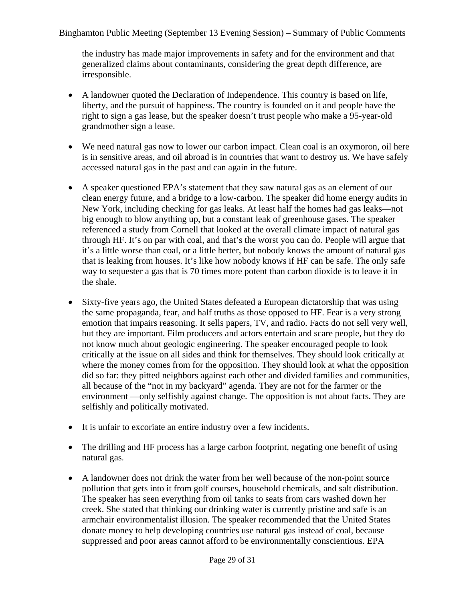the industry has made major improvements in safety and for the environment and that generalized claims about contaminants, considering the great depth difference, are irresponsible.

- A landowner quoted the Declaration of Independence. This country is based on life, liberty, and the pursuit of happiness. The country is founded on it and people have the right to sign a gas lease, but the speaker doesn't trust people who make a 95-year-old grandmother sign a lease.
- We need natural gas now to lower our carbon impact. Clean coal is an oxymoron, oil here is in sensitive areas, and oil abroad is in countries that want to destroy us. We have safely accessed natural gas in the past and can again in the future.
- A speaker questioned EPA's statement that they saw natural gas as an element of our clean energy future, and a bridge to a low-carbon. The speaker did home energy audits in New York, including checking for gas leaks. At least half the homes had gas leaks—not big enough to blow anything up, but a constant leak of greenhouse gases. The speaker referenced a study from Cornell that looked at the overall climate impact of natural gas through HF. It's on par with coal, and that's the worst you can do. People will argue that it's a little worse than coal, or a little better, but nobody knows the amount of natural gas that is leaking from houses. It's like how nobody knows if HF can be safe. The only safe way to sequester a gas that is 70 times more potent than carbon dioxide is to leave it in the shale.
- Sixty-five years ago, the United States defeated a European dictatorship that was using the same propaganda, fear, and half truths as those opposed to HF. Fear is a very strong emotion that impairs reasoning. It sells papers, TV, and radio. Facts do not sell very well, but they are important. Film producers and actors entertain and scare people, but they do not know much about geologic engineering. The speaker encouraged people to look critically at the issue on all sides and think for themselves. They should look critically at where the money comes from for the opposition. They should look at what the opposition did so far: they pitted neighbors against each other and divided families and communities, all because of the "not in my backyard" agenda. They are not for the farmer or the environment —only selfishly against change. The opposition is not about facts. They are selfishly and politically motivated.
- It is unfair to excoriate an entire industry over a few incidents.
- The drilling and HF process has a large carbon footprint, negating one benefit of using natural gas.
- A landowner does not drink the water from her well because of the non-point source pollution that gets into it from golf courses, household chemicals, and salt distribution. The speaker has seen everything from oil tanks to seats from cars washed down her creek. She stated that thinking our drinking water is currently pristine and safe is an armchair environmentalist illusion. The speaker recommended that the United States donate money to help developing countries use natural gas instead of coal, because suppressed and poor areas cannot afford to be environmentally conscientious. EPA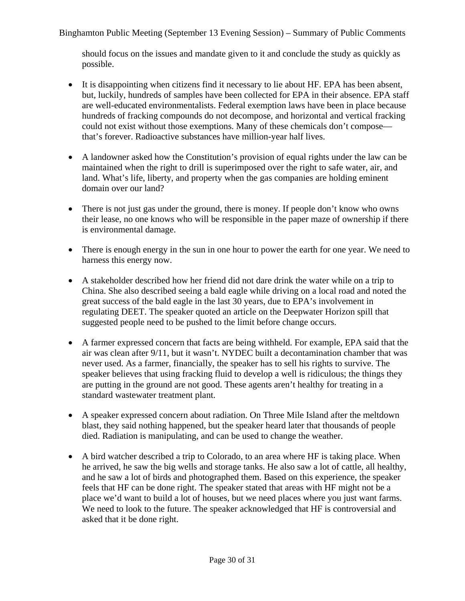should focus on the issues and mandate given to it and conclude the study as quickly as possible.

- It is disappointing when citizens find it necessary to lie about HF. EPA has been absent, but, luckily, hundreds of samples have been collected for EPA in their absence. EPA staff are well-educated environmentalists. Federal exemption laws have been in place because hundreds of fracking compounds do not decompose, and horizontal and vertical fracking could not exist without those exemptions. Many of these chemicals don't compose that's forever. Radioactive substances have million-year half lives.
- A landowner asked how the Constitution's provision of equal rights under the law can be maintained when the right to drill is superimposed over the right to safe water, air, and land. What's life, liberty, and property when the gas companies are holding eminent domain over our land?
- There is not just gas under the ground, there is money. If people don't know who owns their lease, no one knows who will be responsible in the paper maze of ownership if there is environmental damage.
- There is enough energy in the sun in one hour to power the earth for one year. We need to harness this energy now.
- A stakeholder described how her friend did not dare drink the water while on a trip to China. She also described seeing a bald eagle while driving on a local road and noted the great success of the bald eagle in the last 30 years, due to EPA's involvement in regulating DEET. The speaker quoted an article on the Deepwater Horizon spill that suggested people need to be pushed to the limit before change occurs.
- A farmer expressed concern that facts are being withheld. For example, EPA said that the air was clean after 9/11, but it wasn't. NYDEC built a decontamination chamber that was never used. As a farmer, financially, the speaker has to sell his rights to survive. The speaker believes that using fracking fluid to develop a well is ridiculous; the things they are putting in the ground are not good. These agents aren't healthy for treating in a standard wastewater treatment plant.
- A speaker expressed concern about radiation. On Three Mile Island after the meltdown blast, they said nothing happened, but the speaker heard later that thousands of people died. Radiation is manipulating, and can be used to change the weather.
- A bird watcher described a trip to Colorado, to an area where HF is taking place. When he arrived, he saw the big wells and storage tanks. He also saw a lot of cattle, all healthy, and he saw a lot of birds and photographed them. Based on this experience, the speaker feels that HF can be done right. The speaker stated that areas with HF might not be a place we'd want to build a lot of houses, but we need places where you just want farms. We need to look to the future. The speaker acknowledged that HF is controversial and asked that it be done right.